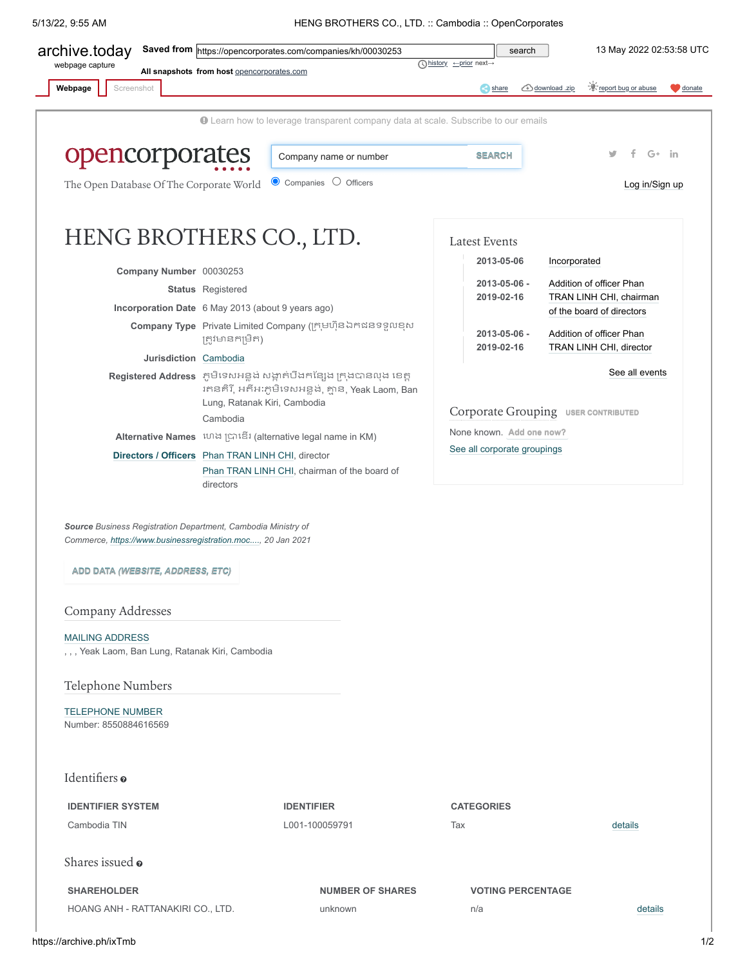## 5/13/22, 9:55 AM HENG BROTHERS CO., LTD. :: Cambodia :: OpenCorporates

<span id="page-0-0"></span>

| webpage capture                                                                                                                                                  |                                            | Saved from https://opencorporates.com/companies/kh/00030253                                                                | search                                                                            | 13 May 2022 02:53:58 UTC                                           |
|------------------------------------------------------------------------------------------------------------------------------------------------------------------|--------------------------------------------|----------------------------------------------------------------------------------------------------------------------------|-----------------------------------------------------------------------------------|--------------------------------------------------------------------|
|                                                                                                                                                                  | All snapshots from host opencorporates.com |                                                                                                                            | <b><i>Ahistory</i></b> <u>← prior</u> next→                                       |                                                                    |
| Webpage<br>Screenshot                                                                                                                                            |                                            |                                                                                                                            | share                                                                             | <u><sup>-</sup>Creport bug or abuse</u><br>download .zip<br>donate |
|                                                                                                                                                                  |                                            |                                                                                                                            |                                                                                   |                                                                    |
|                                                                                                                                                                  |                                            | <b>O</b> Learn how to leverage transparent company data at scale. Subscribe to our emails                                  |                                                                                   |                                                                    |
| opencorporates                                                                                                                                                   |                                            | Company name or number                                                                                                     | <b>SEARCH</b>                                                                     | $G+$ in                                                            |
|                                                                                                                                                                  |                                            |                                                                                                                            |                                                                                   |                                                                    |
| The Open Database Of The Corporate World                                                                                                                         |                                            | $\bullet$ Companies $\circ$ Officers                                                                                       |                                                                                   | Log in/Sign up                                                     |
| HENG BROTHERS CO., LTD.                                                                                                                                          |                                            |                                                                                                                            |                                                                                   |                                                                    |
|                                                                                                                                                                  |                                            |                                                                                                                            | <b>Latest Events</b>                                                              |                                                                    |
| Company Number 00030253                                                                                                                                          |                                            |                                                                                                                            | 2013-05-06                                                                        | Incorporated                                                       |
|                                                                                                                                                                  | <b>Status</b> Registered                   |                                                                                                                            | Addition of officer Phan<br>2013-05-06 -<br>TRAN LINH CHI, chairman<br>2019-02-16 |                                                                    |
| Incorporation Date 6 May 2013 (about 9 years ago)                                                                                                                |                                            |                                                                                                                            |                                                                                   | of the board of directors                                          |
|                                                                                                                                                                  |                                            | Company Type Private Limited Company (ក្រុមហ៊ុនឯកជនទទួលខុស                                                                 | 2013-05-06 -                                                                      | Addition of officer Phan                                           |
|                                                                                                                                                                  | ត្រូវមានកម្រិត)                            |                                                                                                                            | 2019-02-16                                                                        | TRAN LINH CHI, director                                            |
| Jurisdiction Cambodia                                                                                                                                            |                                            |                                                                                                                            |                                                                                   | See all events                                                     |
|                                                                                                                                                                  | Lung, Ratanak Kiri, Cambodia               | Registered Address ភូមិទេសអន្លង់ សង្កាត់បឹងកន្សែង ក្រុងបានលុង ខេត្ត<br>រតនគិរី, អតីអៈភូមិទេសអន្លូង់, គ្មាន, Yeak Laom, Ban |                                                                                   |                                                                    |
|                                                                                                                                                                  | Cambodia                                   |                                                                                                                            | Corporate Grouping USER CONTRIBUTED                                               |                                                                    |
|                                                                                                                                                                  |                                            | Alternative Names ហេង ប្រាឌើរ (alternative legal name in KM)                                                               | None known. Add one now?<br>See all corporate groupings                           |                                                                    |
| Directors / Officers Phan TRAN LINH CHI, director                                                                                                                |                                            |                                                                                                                            |                                                                                   |                                                                    |
|                                                                                                                                                                  |                                            |                                                                                                                            |                                                                                   |                                                                    |
|                                                                                                                                                                  | directors                                  | Phan TRAN LINH CHI, chairman of the board of                                                                               |                                                                                   |                                                                    |
|                                                                                                                                                                  |                                            |                                                                                                                            |                                                                                   |                                                                    |
| Source Business Registration Department, Cambodia Ministry of<br>Commerce, https://www.businessregistration.moc, 20 Jan 2021<br>ADD DATA (WEBSITE, ADDRESS, ETC) |                                            |                                                                                                                            |                                                                                   |                                                                    |
| Company Addresses                                                                                                                                                |                                            |                                                                                                                            |                                                                                   |                                                                    |
| <b>MAILING ADDRESS</b>                                                                                                                                           |                                            |                                                                                                                            |                                                                                   |                                                                    |
| , , , Yeak Laom, Ban Lung, Ratanak Kiri, Cambodia                                                                                                                |                                            |                                                                                                                            |                                                                                   |                                                                    |
| Telephone Numbers                                                                                                                                                |                                            |                                                                                                                            |                                                                                   |                                                                    |
| <b>TELEPHONE NUMBER</b>                                                                                                                                          |                                            |                                                                                                                            |                                                                                   |                                                                    |
| Number: 8550884616569                                                                                                                                            |                                            |                                                                                                                            |                                                                                   |                                                                    |
|                                                                                                                                                                  |                                            |                                                                                                                            |                                                                                   |                                                                    |
| Identifiers o                                                                                                                                                    |                                            |                                                                                                                            |                                                                                   |                                                                    |
| <b>IDENTIFIER SYSTEM</b>                                                                                                                                         |                                            | <b>IDENTIFIER</b>                                                                                                          | <b>CATEGORIES</b>                                                                 |                                                                    |
| Cambodia TIN                                                                                                                                                     |                                            | L001-100059791                                                                                                             | Tax                                                                               | details                                                            |
| Shares issued o                                                                                                                                                  |                                            |                                                                                                                            |                                                                                   |                                                                    |
| <b>SHAREHOLDER</b>                                                                                                                                               |                                            | <b>NUMBER OF SHARES</b>                                                                                                    | <b>VOTING PERCENTAGE</b>                                                          |                                                                    |